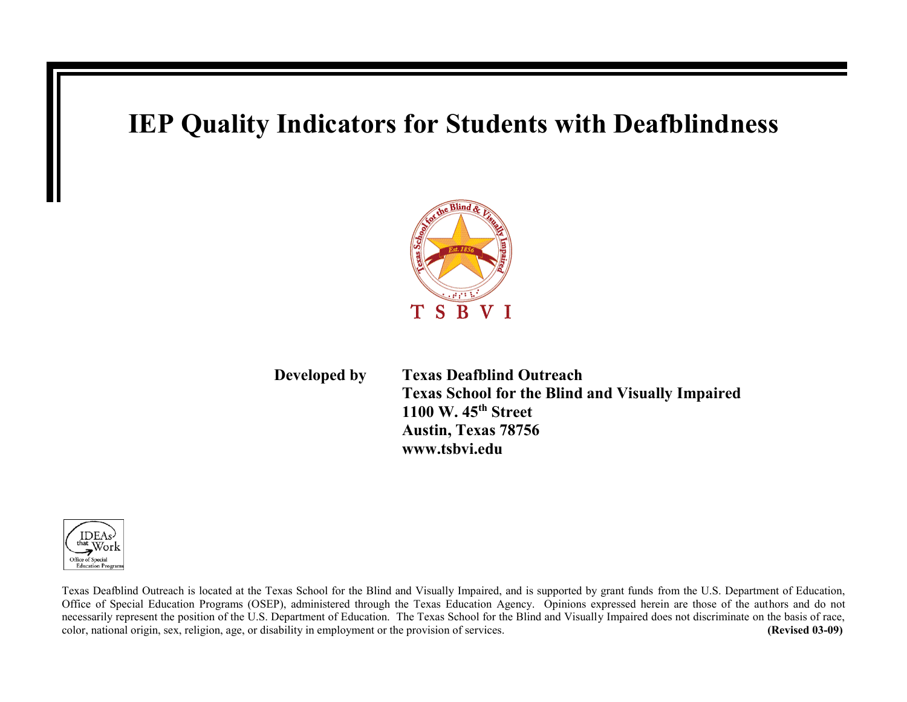## **IEP Quality Indicators for Students with Deafblindness**



 **Developed by Texas Deafblind Outreach Texas School for the Blind and Visually Impaired 1100 W. 45th Street Austin, Texas 78756 www.tsbvi.edu**



Texas Deafblind Outreach is located at the Texas School for the Blind and Visually Impaired, and is supported by grant funds from the U.S. Department of Education, Office of Special Education Programs (OSEP), administered through the Texas Education Agency. Opinions expressed herein are those of the authors and do not necessarily represent the position of the U.S. Department of Education. The Texas School for the Blind and Visually Impaired does not discriminate on the basis of race, color, national origin, sex, religion, age, or disability in employment or the provision of services. **(Revised 03-09)**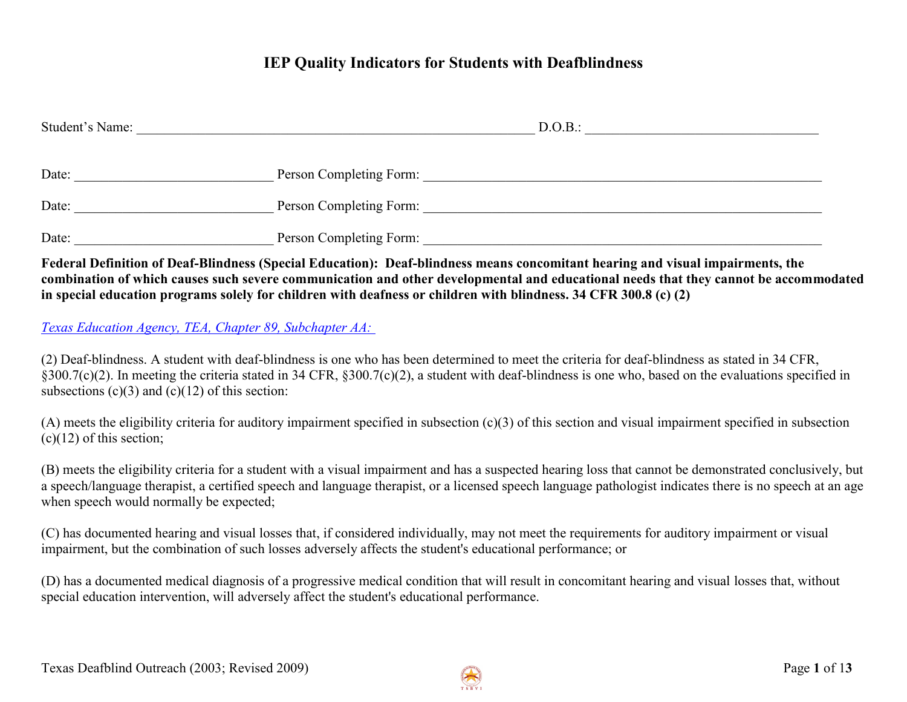### **IEP Quality Indicators for Students with Deafblindness**

| Student's Name: |                         | D.O.B.: |  |
|-----------------|-------------------------|---------|--|
| Date:           | Person Completing Form: |         |  |
| Date:           | Person Completing Form: |         |  |
| Date:           | Person Completing Form: |         |  |

**Federal Definition of Deaf-Blindness (Special Education): Deaf-blindness means concomitant hearing and visual impairments, the combination of which causes such severe communication and other developmental and educational needs that they cannot be accommodated in special education programs solely for children with deafness or children with blindness. 34 CFR 300.8 (c) (2)**

#### *[Texas Education Agency, TEA, Chapter 89, Subchapter AA:](http://www.tea.state.tx.us/rules/tac/chapter089/ch089aa.html)*

(2) Deaf-blindness. A student with deaf-blindness is one who has been determined to meet the criteria for deaf-blindness as stated in 34 CFR, §300.7(c)(2). In meeting the criteria stated in 34 CFR, §300.7(c)(2), a student with deaf-blindness is one who, based on the evaluations specified in subsections  $(c)(3)$  and  $(c)(12)$  of this section:

(A) meets the eligibility criteria for auditory impairment specified in subsection (c)(3) of this section and visual impairment specified in subsection  $(c)(12)$  of this section;

(B) meets the eligibility criteria for a student with a visual impairment and has a suspected hearing loss that cannot be demonstrated conclusively, but a speech/language therapist, a certified speech and language therapist, or a licensed speech language pathologist indicates there is no speech at an age when speech would normally be expected;

(C) has documented hearing and visual losses that, if considered individually, may not meet the requirements for auditory impairment or visual impairment, but the combination of such losses adversely affects the student's educational performance; or

(D) has a documented medical diagnosis of a progressive medical condition that will result in concomitant hearing and visual losses that, without special education intervention, will adversely affect the student's educational performance.

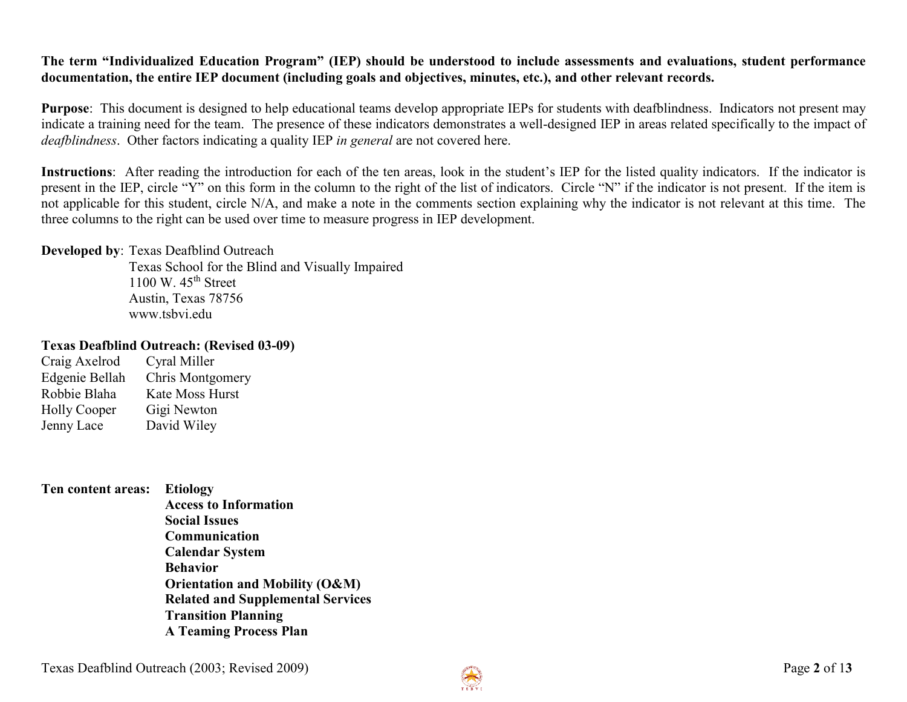#### **The term "Individualized Education Program" (IEP) should be understood to include assessments and evaluations, student performance documentation, the entire IEP document (including goals and objectives, minutes, etc.), and other relevant records.**

**Purpose**: This document is designed to help educational teams develop appropriate IEPs for students with deafblindness. Indicators not present may indicate a training need for the team. The presence of these indicators demonstrates a well-designed IEP in areas related specifically to the impact of *deafblindness*. Other factors indicating a quality IEP *in general* are not covered here.

**Instructions**: After reading the introduction for each of the ten areas, look in the student's IEP for the listed quality indicators. If the indicator is present in the IEP, circle "Y" on this form in the column to the right of the list of indicators. Circle "N" if the indicator is not present. If the item is not applicable for this student, circle N/A, and make a note in the comments section explaining why the indicator is not relevant at this time. The three columns to the right can be used over time to measure progress in IEP development.

#### **Developed by**: Texas Deafblind Outreach

Texas School for the Blind and Visually Impaired 1100 W.  $45<sup>th</sup>$  Street Austin, Texas 78756 www.tsbvi.edu

#### **Texas Deafblind Outreach: (Revised 03-09)**

| Cyral Miller     |
|------------------|
| Chris Montgomery |
| Kate Moss Hurst  |
| Gigi Newton      |
| David Wiley      |
|                  |

**Ten content areas: Etiology Access to Information Social Issues Communication Calendar System Behavior Orientation and Mobility (O&M) Related and Supplemental Services Transition Planning A Teaming Process Plan**

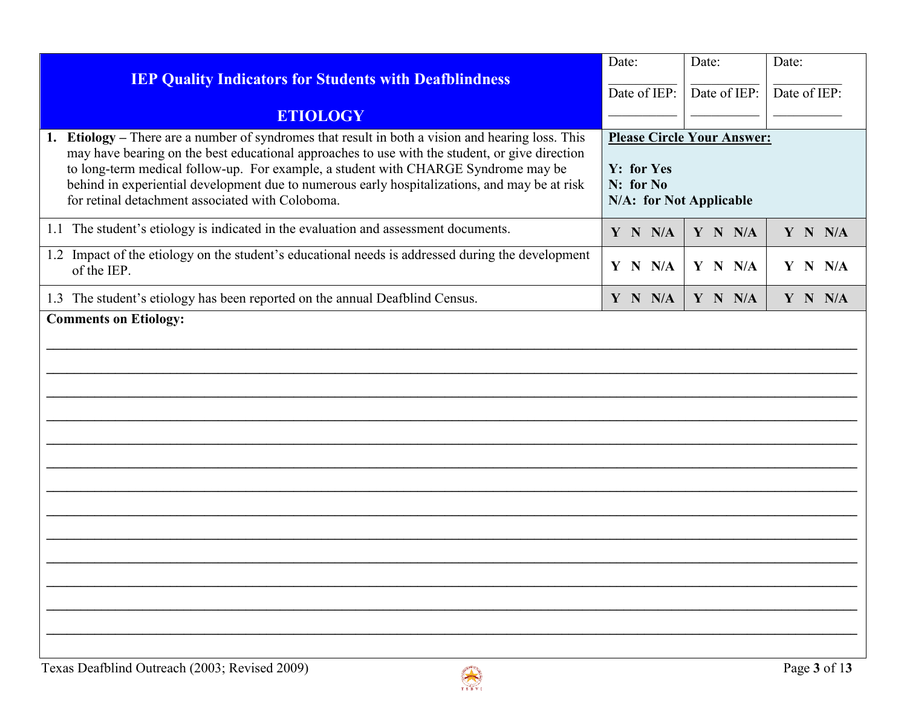| <b>IEP Quality Indicators for Students with Deafblindness</b>                                                                                                                                                                                                                                                                                                                                                                                     | Date:<br>Date of IEP:                              | Date:<br>Date of IEP:             | Date:<br>Date of IEP: |
|---------------------------------------------------------------------------------------------------------------------------------------------------------------------------------------------------------------------------------------------------------------------------------------------------------------------------------------------------------------------------------------------------------------------------------------------------|----------------------------------------------------|-----------------------------------|-----------------------|
| <b>ETIOLOGY</b>                                                                                                                                                                                                                                                                                                                                                                                                                                   |                                                    |                                   |                       |
| Etiology - There are a number of syndromes that result in both a vision and hearing loss. This<br>1.<br>may have bearing on the best educational approaches to use with the student, or give direction<br>to long-term medical follow-up. For example, a student with CHARGE Syndrome may be<br>behind in experiential development due to numerous early hospitalizations, and may be at risk<br>for retinal detachment associated with Coloboma. | Y: for Yes<br>N: for No<br>N/A: for Not Applicable | <b>Please Circle Your Answer:</b> |                       |
| 1.1 The student's etiology is indicated in the evaluation and assessment documents.                                                                                                                                                                                                                                                                                                                                                               | Y N N/A                                            | Y N N/A                           | Y N N/A               |
| 1.2 Impact of the etiology on the student's educational needs is addressed during the development<br>of the IEP.                                                                                                                                                                                                                                                                                                                                  | Y N N/A                                            | Y N N/A                           | Y N N/A               |
| 1.3 The student's etiology has been reported on the annual Deafblind Census.                                                                                                                                                                                                                                                                                                                                                                      | Y N N/A                                            | Y N N/A                           | Y N N/A               |
|                                                                                                                                                                                                                                                                                                                                                                                                                                                   |                                                    |                                   |                       |

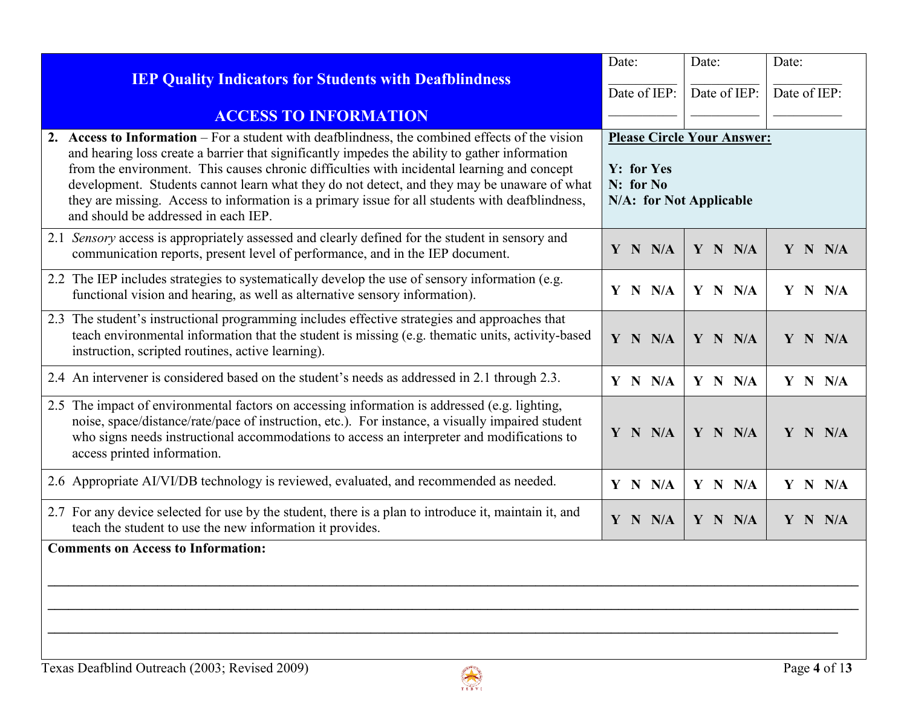| <b>IEP Quality Indicators for Students with Deafblindness</b>                                                                                                                                                                                                                                                                                                                                                                                                                                                                              | Date:                                                                                          | Date:        | Date:        |
|--------------------------------------------------------------------------------------------------------------------------------------------------------------------------------------------------------------------------------------------------------------------------------------------------------------------------------------------------------------------------------------------------------------------------------------------------------------------------------------------------------------------------------------------|------------------------------------------------------------------------------------------------|--------------|--------------|
|                                                                                                                                                                                                                                                                                                                                                                                                                                                                                                                                            | Date of IEP:                                                                                   | Date of IEP: | Date of IEP: |
| <b>ACCESS TO INFORMATION</b>                                                                                                                                                                                                                                                                                                                                                                                                                                                                                                               |                                                                                                |              |              |
| 2. Access to Information – For a student with deafblindness, the combined effects of the vision<br>and hearing loss create a barrier that significantly impedes the ability to gather information<br>from the environment. This causes chronic difficulties with incidental learning and concept<br>development. Students cannot learn what they do not detect, and they may be unaware of what<br>they are missing. Access to information is a primary issue for all students with deafblindness,<br>and should be addressed in each IEP. | <b>Please Circle Your Answer:</b><br><b>Y:</b> for Yes<br>N: for No<br>N/A: for Not Applicable |              |              |
| 2.1 Sensory access is appropriately assessed and clearly defined for the student in sensory and<br>communication reports, present level of performance, and in the IEP document.                                                                                                                                                                                                                                                                                                                                                           | Y N N/A                                                                                        | Y N N/A      | Y N N/A      |
| 2.2 The IEP includes strategies to systematically develop the use of sensory information (e.g.<br>functional vision and hearing, as well as alternative sensory information).                                                                                                                                                                                                                                                                                                                                                              | $Y$ N N/A                                                                                      | Y N N/A      | Y N N/A      |
| 2.3 The student's instructional programming includes effective strategies and approaches that<br>teach environmental information that the student is missing (e.g. thematic units, activity-based<br>instruction, scripted routines, active learning).                                                                                                                                                                                                                                                                                     | Y N N/A                                                                                        | Y N N/A      | Y N N/A      |
| 2.4 An intervener is considered based on the student's needs as addressed in 2.1 through 2.3.                                                                                                                                                                                                                                                                                                                                                                                                                                              | $Y$ N $N/A$                                                                                    | Y N N/A      | Y N N/A      |
| 2.5 The impact of environmental factors on accessing information is addressed (e.g. lighting,<br>noise, space/distance/rate/pace of instruction, etc.). For instance, a visually impaired student<br>who signs needs instructional accommodations to access an interpreter and modifications to<br>access printed information.                                                                                                                                                                                                             | Y N N/A                                                                                        | Y N N/A      | Y N N/A      |
| 2.6 Appropriate AI/VI/DB technology is reviewed, evaluated, and recommended as needed.                                                                                                                                                                                                                                                                                                                                                                                                                                                     | Y N N/A                                                                                        | Y N N/A      | Y N N/A      |
| 2.7 For any device selected for use by the student, there is a plan to introduce it, maintain it, and<br>teach the student to use the new information it provides.                                                                                                                                                                                                                                                                                                                                                                         | Y N N/A                                                                                        | Y N N/A      | Y N N/A      |
| <b>Comments on Access to Information:</b>                                                                                                                                                                                                                                                                                                                                                                                                                                                                                                  |                                                                                                |              |              |

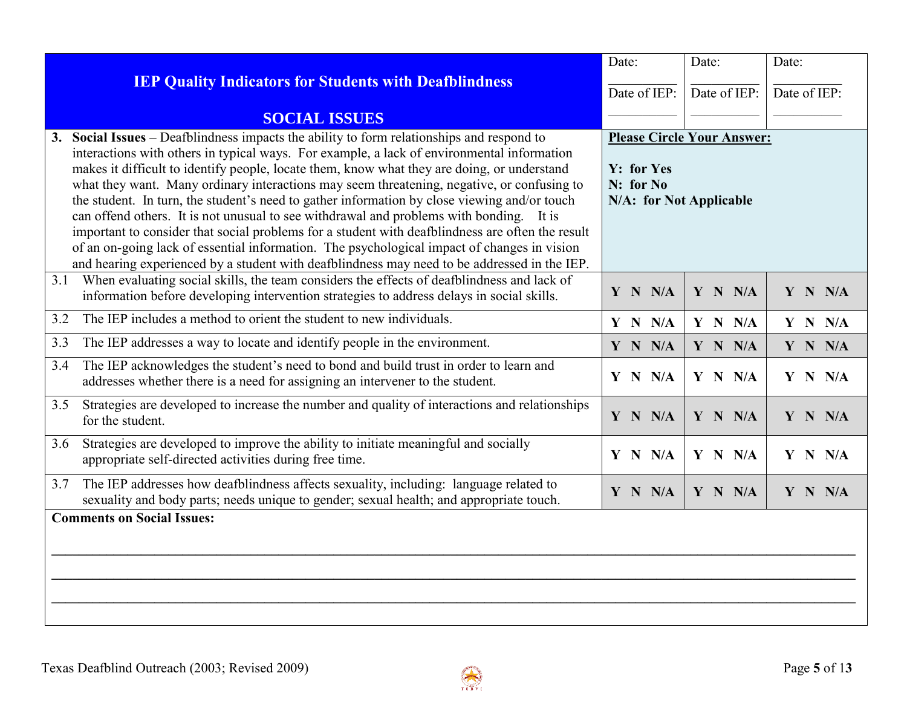|                                                                                                                                                                                                                                                                                                                                                                                                                                                                                                                                                                                                                                                                                                                                                                                                                                                                                       | Date:                                                                                   | Date:        | Date:        |
|---------------------------------------------------------------------------------------------------------------------------------------------------------------------------------------------------------------------------------------------------------------------------------------------------------------------------------------------------------------------------------------------------------------------------------------------------------------------------------------------------------------------------------------------------------------------------------------------------------------------------------------------------------------------------------------------------------------------------------------------------------------------------------------------------------------------------------------------------------------------------------------|-----------------------------------------------------------------------------------------|--------------|--------------|
| <b>IEP Quality Indicators for Students with Deafblindness</b>                                                                                                                                                                                                                                                                                                                                                                                                                                                                                                                                                                                                                                                                                                                                                                                                                         | Date of IEP:                                                                            | Date of IEP: | Date of IEP: |
| <b>SOCIAL ISSUES</b>                                                                                                                                                                                                                                                                                                                                                                                                                                                                                                                                                                                                                                                                                                                                                                                                                                                                  |                                                                                         |              |              |
| Social Issues – Deafblindness impacts the ability to form relationships and respond to<br>3.<br>interactions with others in typical ways. For example, a lack of environmental information<br>makes it difficult to identify people, locate them, know what they are doing, or understand<br>what they want. Many ordinary interactions may seem threatening, negative, or confusing to<br>the student. In turn, the student's need to gather information by close viewing and/or touch<br>can offend others. It is not unusual to see withdrawal and problems with bonding. It is<br>important to consider that social problems for a student with deafblindness are often the result<br>of an on-going lack of essential information. The psychological impact of changes in vision<br>and hearing experienced by a student with deafblindness may need to be addressed in the IEP. | <b>Please Circle Your Answer:</b><br>Y: for Yes<br>N: for No<br>N/A: for Not Applicable |              |              |
| When evaluating social skills, the team considers the effects of deafblindness and lack of<br>3.1<br>information before developing intervention strategies to address delays in social skills.                                                                                                                                                                                                                                                                                                                                                                                                                                                                                                                                                                                                                                                                                        | Y N N/A                                                                                 | Y N N/A      | Y N N/A      |
| The IEP includes a method to orient the student to new individuals.<br>3.2                                                                                                                                                                                                                                                                                                                                                                                                                                                                                                                                                                                                                                                                                                                                                                                                            | Y N N/A                                                                                 | Y N N/A      | Y N N/A      |
| The IEP addresses a way to locate and identify people in the environment.<br>3.3                                                                                                                                                                                                                                                                                                                                                                                                                                                                                                                                                                                                                                                                                                                                                                                                      | Y N N/A                                                                                 | Y N N/A      | Y N N/A      |
| The IEP acknowledges the student's need to bond and build trust in order to learn and<br>3.4<br>addresses whether there is a need for assigning an intervener to the student.                                                                                                                                                                                                                                                                                                                                                                                                                                                                                                                                                                                                                                                                                                         | Y N N/A                                                                                 | Y N N/A      | Y N N/A      |
| Strategies are developed to increase the number and quality of interactions and relationships<br>3.5<br>for the student.                                                                                                                                                                                                                                                                                                                                                                                                                                                                                                                                                                                                                                                                                                                                                              | Y N N/A                                                                                 | Y N N/A      | Y N N/A      |
| Strategies are developed to improve the ability to initiate meaningful and socially<br>3.6<br>appropriate self-directed activities during free time.                                                                                                                                                                                                                                                                                                                                                                                                                                                                                                                                                                                                                                                                                                                                  | Y N N/A                                                                                 | Y N N/A      | Y N N/A      |
| The IEP addresses how deafblindness affects sexuality, including: language related to<br>3.7<br>sexuality and body parts; needs unique to gender; sexual health; and appropriate touch.                                                                                                                                                                                                                                                                                                                                                                                                                                                                                                                                                                                                                                                                                               | Y N N/A                                                                                 | Y N N/A      | Y N N/A      |
| <b>Comments on Social Issues:</b>                                                                                                                                                                                                                                                                                                                                                                                                                                                                                                                                                                                                                                                                                                                                                                                                                                                     |                                                                                         |              |              |

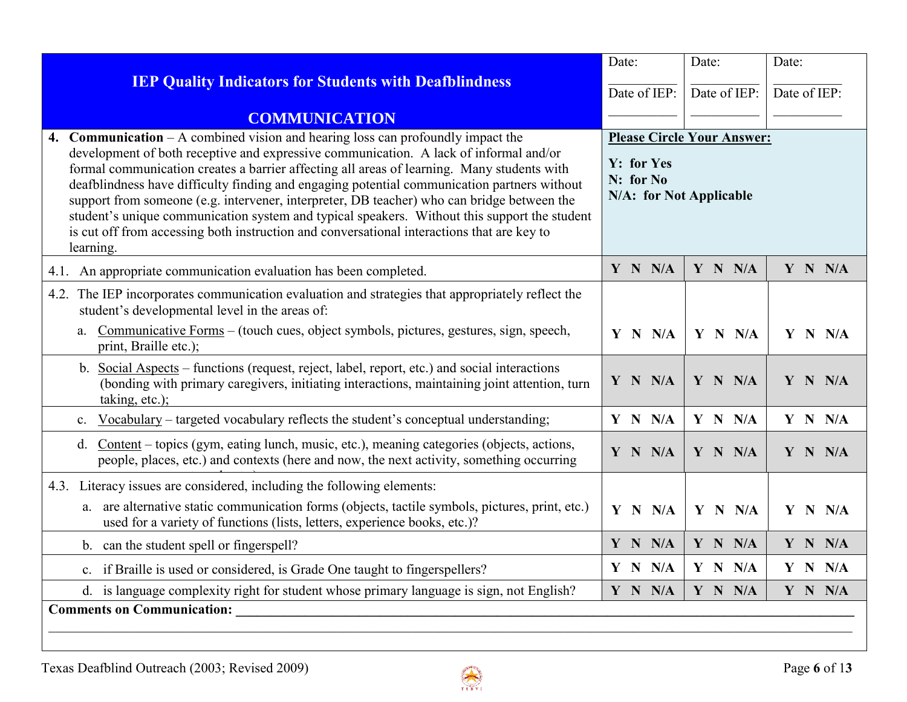|                                                                                                                                                                                                                                                                                                                                                                                                                                                                                                                                                                                                                                                                                                                                                                                               | Date:        | Date:        | Date:        |
|-----------------------------------------------------------------------------------------------------------------------------------------------------------------------------------------------------------------------------------------------------------------------------------------------------------------------------------------------------------------------------------------------------------------------------------------------------------------------------------------------------------------------------------------------------------------------------------------------------------------------------------------------------------------------------------------------------------------------------------------------------------------------------------------------|--------------|--------------|--------------|
| <b>IEP Quality Indicators for Students with Deafblindness</b>                                                                                                                                                                                                                                                                                                                                                                                                                                                                                                                                                                                                                                                                                                                                 | Date of IEP: | Date of IEP: | Date of IEP: |
| <b>COMMUNICATION</b>                                                                                                                                                                                                                                                                                                                                                                                                                                                                                                                                                                                                                                                                                                                                                                          |              |              |              |
| <b>Communication</b> $-\mathbf{A}$ combined vision and hearing loss can profoundly impact the<br><b>Please Circle Your Answer:</b><br>4.<br>development of both receptive and expressive communication. A lack of informal and/or<br>Y: for Yes<br>formal communication creates a barrier affecting all areas of learning. Many students with<br>N: for No<br>deafblindness have difficulty finding and engaging potential communication partners without<br>N/A: for Not Applicable<br>support from someone (e.g. intervener, interpreter, DB teacher) who can bridge between the<br>student's unique communication system and typical speakers. Without this support the student<br>is cut off from accessing both instruction and conversational interactions that are key to<br>learning. |              |              |              |
| 4.1. An appropriate communication evaluation has been completed.                                                                                                                                                                                                                                                                                                                                                                                                                                                                                                                                                                                                                                                                                                                              | Y N N/A      | Y N N/A      | Y N N/A      |
| 4.2. The IEP incorporates communication evaluation and strategies that appropriately reflect the<br>student's developmental level in the areas of:<br>Communicative Forms – (touch cues, object symbols, pictures, gestures, sign, speech,<br>a.<br>print, Braille etc.);                                                                                                                                                                                                                                                                                                                                                                                                                                                                                                                     | $Y$ N $N/A$  | Y N N/A      | Y N N/A      |
| b. Social Aspects – functions (request, reject, label, report, etc.) and social interactions<br>(bonding with primary caregivers, initiating interactions, maintaining joint attention, turn<br>taking, etc.);                                                                                                                                                                                                                                                                                                                                                                                                                                                                                                                                                                                | Y N N/A      | Y N N/A      | Y N N/A      |
| c. Vocabulary – targeted vocabulary reflects the student's conceptual understanding;                                                                                                                                                                                                                                                                                                                                                                                                                                                                                                                                                                                                                                                                                                          | Y N N/A      | Y N N/A      | Y N N/A      |
| Content – topics (gym, eating lunch, music, etc.), meaning categories (objects, actions,<br>d.<br>people, places, etc.) and contexts (here and now, the next activity, something occurring                                                                                                                                                                                                                                                                                                                                                                                                                                                                                                                                                                                                    | Y N N/A      | Y N N/A      | Y N N/A      |
| 4.3. Literacy issues are considered, including the following elements:<br>a. are alternative static communication forms (objects, tactile symbols, pictures, print, etc.)<br>used for a variety of functions (lists, letters, experience books, etc.)?                                                                                                                                                                                                                                                                                                                                                                                                                                                                                                                                        | Y N N/A      | Y N N/A      | Y N N/A      |
| b. can the student spell or fingerspell?                                                                                                                                                                                                                                                                                                                                                                                                                                                                                                                                                                                                                                                                                                                                                      | Y N N/A      | Y N N/A      | Y N N/A      |
| c. if Braille is used or considered, is Grade One taught to fingerspellers?                                                                                                                                                                                                                                                                                                                                                                                                                                                                                                                                                                                                                                                                                                                   | Y N N/A      | Y N N/A      | Y N N/A      |
| d. is language complexity right for student whose primary language is sign, not English?                                                                                                                                                                                                                                                                                                                                                                                                                                                                                                                                                                                                                                                                                                      | Y N N/A      | Y N N/A      | Y N N/A      |
| <b>Comments on Communication:</b>                                                                                                                                                                                                                                                                                                                                                                                                                                                                                                                                                                                                                                                                                                                                                             |              |              |              |

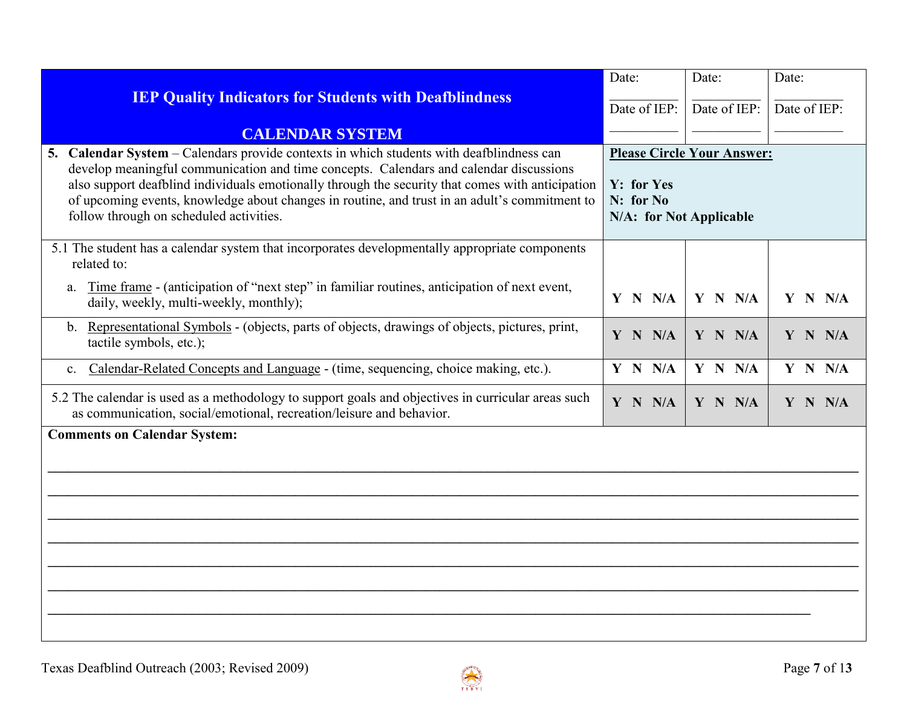| Date:                                                                                   | Date:        | Date:        |
|-----------------------------------------------------------------------------------------|--------------|--------------|
| Date of IEP:                                                                            | Date of IEP: | Date of IEP: |
|                                                                                         |              |              |
| <b>Please Circle Your Answer:</b><br>Y: for Yes<br>N: for No<br>N/A: for Not Applicable |              |              |
| Y N N/A                                                                                 | Y N N/A      | Y N N/A      |
| Y N N/A                                                                                 | Y N N/A      | Y N N/A      |
| Y N N/A                                                                                 | Y N N/A      | Y N N/A      |
| Y N N/A                                                                                 | Y N N/A      | Y N N/A      |
|                                                                                         |              |              |
|                                                                                         |              |              |

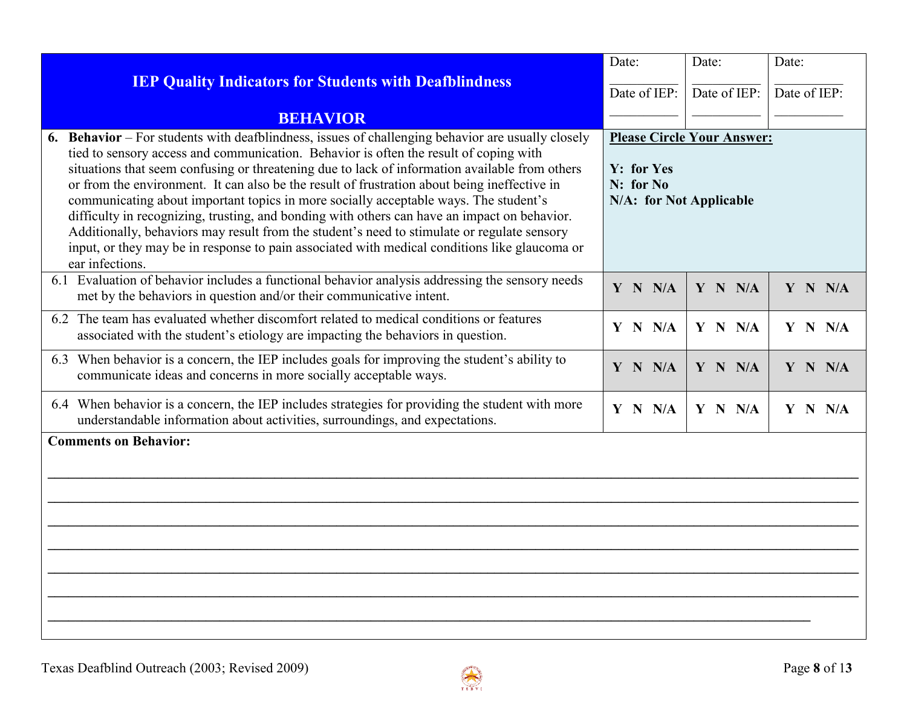|                                                                                                                                                                                                                                                                                                                                                                                                                                                                                                                                                                                                                                                                                                                                                                                                      | Date:                                                                                          | Date:        | Date:        |
|------------------------------------------------------------------------------------------------------------------------------------------------------------------------------------------------------------------------------------------------------------------------------------------------------------------------------------------------------------------------------------------------------------------------------------------------------------------------------------------------------------------------------------------------------------------------------------------------------------------------------------------------------------------------------------------------------------------------------------------------------------------------------------------------------|------------------------------------------------------------------------------------------------|--------------|--------------|
| <b>IEP Quality Indicators for Students with Deafblindness</b>                                                                                                                                                                                                                                                                                                                                                                                                                                                                                                                                                                                                                                                                                                                                        | Date of IEP:                                                                                   | Date of IEP: | Date of IEP: |
| <b>BEHAVIOR</b>                                                                                                                                                                                                                                                                                                                                                                                                                                                                                                                                                                                                                                                                                                                                                                                      |                                                                                                |              |              |
| Behavior – For students with deafblindness, issues of challenging behavior are usually closely<br>tied to sensory access and communication. Behavior is often the result of coping with<br>situations that seem confusing or threatening due to lack of information available from others<br>or from the environment. It can also be the result of frustration about being ineffective in<br>communicating about important topics in more socially acceptable ways. The student's<br>difficulty in recognizing, trusting, and bonding with others can have an impact on behavior.<br>Additionally, behaviors may result from the student's need to stimulate or regulate sensory<br>input, or they may be in response to pain associated with medical conditions like glaucoma or<br>ear infections. | <b>Please Circle Your Answer:</b><br><b>Y:</b> for Yes<br>N: for No<br>N/A: for Not Applicable |              |              |
| 6.1 Evaluation of behavior includes a functional behavior analysis addressing the sensory needs<br>met by the behaviors in question and/or their communicative intent.                                                                                                                                                                                                                                                                                                                                                                                                                                                                                                                                                                                                                               | Y N N/A                                                                                        | Y N N/A      | $Y$ N $N/A$  |
| 6.2 The team has evaluated whether discomfort related to medical conditions or features<br>associated with the student's etiology are impacting the behaviors in question.                                                                                                                                                                                                                                                                                                                                                                                                                                                                                                                                                                                                                           | Y N N/A                                                                                        | Y N N/A      | $Y$ N N/A    |
| 6.3 When behavior is a concern, the IEP includes goals for improving the student's ability to<br>communicate ideas and concerns in more socially acceptable ways.                                                                                                                                                                                                                                                                                                                                                                                                                                                                                                                                                                                                                                    | Y N N/A                                                                                        | Y N N/A      | Y N N/A      |
| 6.4 When behavior is a concern, the IEP includes strategies for providing the student with more<br>understandable information about activities, surroundings, and expectations.                                                                                                                                                                                                                                                                                                                                                                                                                                                                                                                                                                                                                      | Y N N/A                                                                                        | Y N N/A      | Y N N/A      |
| <b>Comments on Behavior:</b>                                                                                                                                                                                                                                                                                                                                                                                                                                                                                                                                                                                                                                                                                                                                                                         |                                                                                                |              |              |

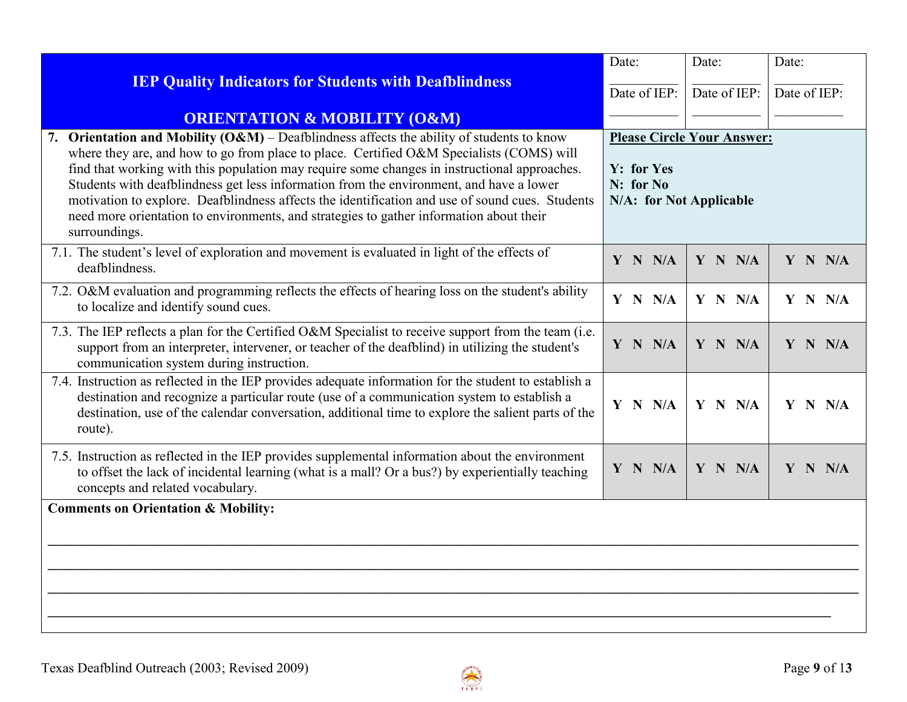|                                                                                                                                                                                                                                                                                                                                                                                                                                                                                                                                                                                                    | Date:                                                                                       | Date:        | Date:        |
|----------------------------------------------------------------------------------------------------------------------------------------------------------------------------------------------------------------------------------------------------------------------------------------------------------------------------------------------------------------------------------------------------------------------------------------------------------------------------------------------------------------------------------------------------------------------------------------------------|---------------------------------------------------------------------------------------------|--------------|--------------|
| <b>IEP Quality Indicators for Students with Deafblindness</b>                                                                                                                                                                                                                                                                                                                                                                                                                                                                                                                                      | Date of IEP:                                                                                | Date of IEP: | Date of IEP: |
| <b>ORIENTATION &amp; MOBILITY (O&amp;M)</b>                                                                                                                                                                                                                                                                                                                                                                                                                                                                                                                                                        |                                                                                             |              |              |
| 7. Orientation and Mobility $(O\&M)$ – Deafblindness affects the ability of students to know<br>where they are, and how to go from place to place. Certified O&M Specialists (COMS) will<br>find that working with this population may require some changes in instructional approaches.<br>Students with deafblindness get less information from the environment, and have a lower<br>motivation to explore. Deafblindness affects the identification and use of sound cues. Students<br>need more orientation to environments, and strategies to gather information about their<br>surroundings. | <b>Please Circle Your Answer:</b><br>Y: for Yes<br>$N:$ for $No$<br>N/A: for Not Applicable |              |              |
| 7.1. The student's level of exploration and movement is evaluated in light of the effects of<br>deafblindness.                                                                                                                                                                                                                                                                                                                                                                                                                                                                                     | Y N N/A                                                                                     | Y N N/A      | Y N N/A      |
| 7.2. O&M evaluation and programming reflects the effects of hearing loss on the student's ability<br>to localize and identify sound cues.                                                                                                                                                                                                                                                                                                                                                                                                                                                          | Y N N/A                                                                                     | Y N N/A      | Y N N/A      |
| 7.3. The IEP reflects a plan for the Certified O&M Specialist to receive support from the team (i.e.<br>support from an interpreter, intervener, or teacher of the deafblind) in utilizing the student's<br>communication system during instruction.                                                                                                                                                                                                                                                                                                                                               | Y N N/A                                                                                     | Y N N/A      | Y N N/A      |
| 7.4. Instruction as reflected in the IEP provides adequate information for the student to establish a<br>destination and recognize a particular route (use of a communication system to establish a<br>destination, use of the calendar conversation, additional time to explore the salient parts of the<br>route).                                                                                                                                                                                                                                                                               | Y N N/A                                                                                     | Y N N/A      | $Y$ N N/A    |
| 7.5. Instruction as reflected in the IEP provides supplemental information about the environment<br>to offset the lack of incidental learning (what is a mall? Or a bus?) by experientially teaching<br>concepts and related vocabulary.                                                                                                                                                                                                                                                                                                                                                           | Y N N/A                                                                                     | Y N N/A      | $Y$ N N/A    |
| <b>Comments on Orientation &amp; Mobility:</b>                                                                                                                                                                                                                                                                                                                                                                                                                                                                                                                                                     |                                                                                             |              |              |
|                                                                                                                                                                                                                                                                                                                                                                                                                                                                                                                                                                                                    |                                                                                             |              |              |
|                                                                                                                                                                                                                                                                                                                                                                                                                                                                                                                                                                                                    |                                                                                             |              |              |
|                                                                                                                                                                                                                                                                                                                                                                                                                                                                                                                                                                                                    |                                                                                             |              |              |
|                                                                                                                                                                                                                                                                                                                                                                                                                                                                                                                                                                                                    |                                                                                             |              |              |
|                                                                                                                                                                                                                                                                                                                                                                                                                                                                                                                                                                                                    |                                                                                             |              |              |

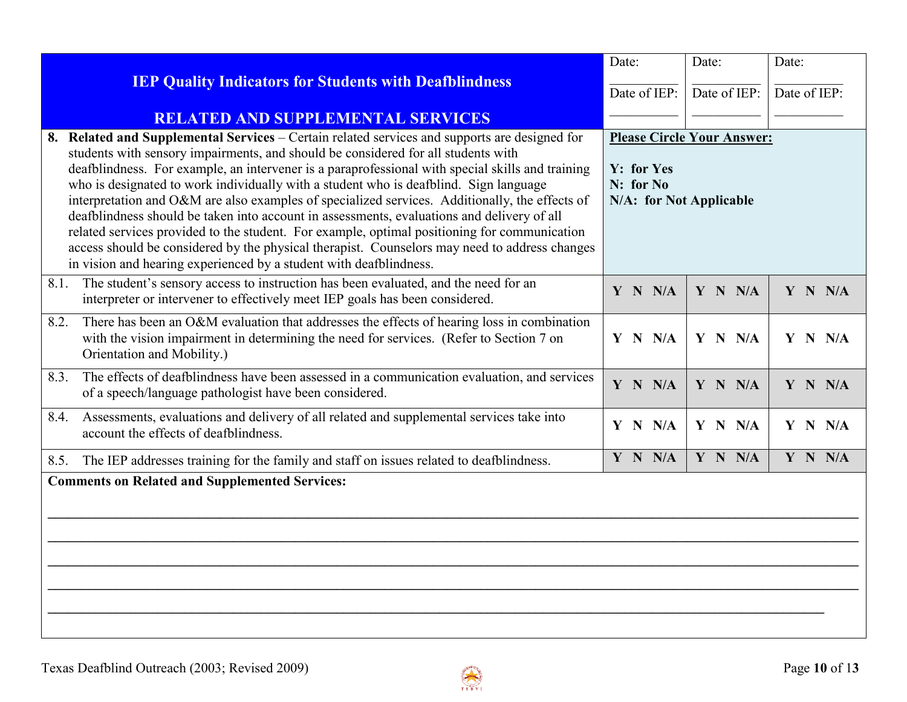|                                                                                                                                                                                                                                                                                                                                                                                                                                                                                                                                                                                                                                                                                                                                                                                                                                                        | Date:                                                                                   | Date:        | Date:        |
|--------------------------------------------------------------------------------------------------------------------------------------------------------------------------------------------------------------------------------------------------------------------------------------------------------------------------------------------------------------------------------------------------------------------------------------------------------------------------------------------------------------------------------------------------------------------------------------------------------------------------------------------------------------------------------------------------------------------------------------------------------------------------------------------------------------------------------------------------------|-----------------------------------------------------------------------------------------|--------------|--------------|
| <b>IEP Quality Indicators for Students with Deafblindness</b>                                                                                                                                                                                                                                                                                                                                                                                                                                                                                                                                                                                                                                                                                                                                                                                          | Date of IEP:                                                                            | Date of IEP: | Date of IEP: |
| <b>RELATED AND SUPPLEMENTAL SERVICES</b>                                                                                                                                                                                                                                                                                                                                                                                                                                                                                                                                                                                                                                                                                                                                                                                                               |                                                                                         |              |              |
| 8. Related and Supplemental Services – Certain related services and supports are designed for<br>students with sensory impairments, and should be considered for all students with<br>deafblindness. For example, an intervener is a paraprofessional with special skills and training<br>who is designated to work individually with a student who is deafblind. Sign language<br>interpretation and O&M are also examples of specialized services. Additionally, the effects of<br>deafblindness should be taken into account in assessments, evaluations and delivery of all<br>related services provided to the student. For example, optimal positioning for communication<br>access should be considered by the physical therapist. Counselors may need to address changes<br>in vision and hearing experienced by a student with deafblindness. | <b>Please Circle Your Answer:</b><br>Y: for Yes<br>N: for No<br>N/A: for Not Applicable |              |              |
| The student's sensory access to instruction has been evaluated, and the need for an<br>8.1.<br>interpreter or intervener to effectively meet IEP goals has been considered.                                                                                                                                                                                                                                                                                                                                                                                                                                                                                                                                                                                                                                                                            | Y N N/A                                                                                 | Y N N/A      | Y N N/A      |
| There has been an O&M evaluation that addresses the effects of hearing loss in combination<br>8.2.<br>with the vision impairment in determining the need for services. (Refer to Section 7 on<br>Orientation and Mobility.)                                                                                                                                                                                                                                                                                                                                                                                                                                                                                                                                                                                                                            | Y N N/A                                                                                 | Y N N/A      | $Y$ N N/A    |
| The effects of deafblindness have been assessed in a communication evaluation, and services<br>8.3.<br>of a speech/language pathologist have been considered.                                                                                                                                                                                                                                                                                                                                                                                                                                                                                                                                                                                                                                                                                          | Y N N/A                                                                                 | Y N N/A      | Y N N/A      |
| Assessments, evaluations and delivery of all related and supplemental services take into<br>8.4.<br>account the effects of deafblindness.                                                                                                                                                                                                                                                                                                                                                                                                                                                                                                                                                                                                                                                                                                              | Y N N/A                                                                                 | Y N N/A      | Y N N/A      |
| The IEP addresses training for the family and staff on issues related to deafblindness.<br>8.5.                                                                                                                                                                                                                                                                                                                                                                                                                                                                                                                                                                                                                                                                                                                                                        | Y N N/A                                                                                 | Y N N/A      | Y N N/A      |
| <b>Comments on Related and Supplemented Services:</b>                                                                                                                                                                                                                                                                                                                                                                                                                                                                                                                                                                                                                                                                                                                                                                                                  |                                                                                         |              |              |
|                                                                                                                                                                                                                                                                                                                                                                                                                                                                                                                                                                                                                                                                                                                                                                                                                                                        |                                                                                         |              |              |

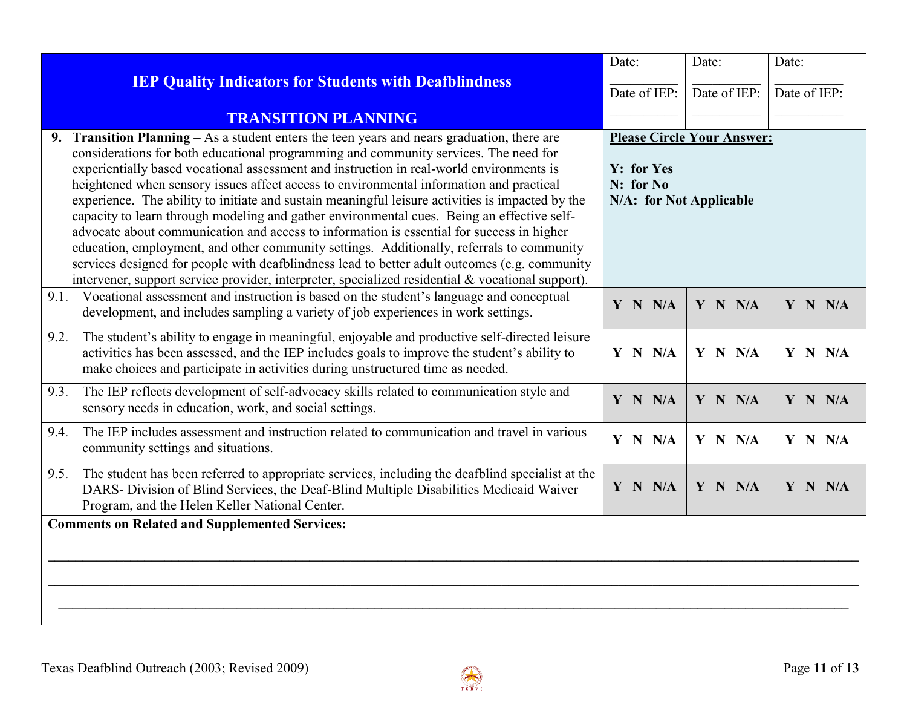|                                                                                                                                                                                                                                                                                                                                                                                                                                                                                                                                                                                                                                                                                                                                                                                                                                                                                                                                                                                 | Date:                                                                                   | Date:        | Date:        |
|---------------------------------------------------------------------------------------------------------------------------------------------------------------------------------------------------------------------------------------------------------------------------------------------------------------------------------------------------------------------------------------------------------------------------------------------------------------------------------------------------------------------------------------------------------------------------------------------------------------------------------------------------------------------------------------------------------------------------------------------------------------------------------------------------------------------------------------------------------------------------------------------------------------------------------------------------------------------------------|-----------------------------------------------------------------------------------------|--------------|--------------|
| <b>IEP Quality Indicators for Students with Deafblindness</b>                                                                                                                                                                                                                                                                                                                                                                                                                                                                                                                                                                                                                                                                                                                                                                                                                                                                                                                   | Date of IEP:                                                                            | Date of IEP: | Date of IEP: |
| <b>TRANSITION PLANNING</b>                                                                                                                                                                                                                                                                                                                                                                                                                                                                                                                                                                                                                                                                                                                                                                                                                                                                                                                                                      |                                                                                         |              |              |
| Transition Planning – As a student enters the teen years and nears graduation, there are<br>9.<br>considerations for both educational programming and community services. The need for<br>experientially based vocational assessment and instruction in real-world environments is<br>heightened when sensory issues affect access to environmental information and practical<br>experience. The ability to initiate and sustain meaningful leisure activities is impacted by the<br>capacity to learn through modeling and gather environmental cues. Being an effective self-<br>advocate about communication and access to information is essential for success in higher<br>education, employment, and other community settings. Additionally, referrals to community<br>services designed for people with deafblindness lead to better adult outcomes (e.g. community<br>intervener, support service provider, interpreter, specialized residential & vocational support). | <b>Please Circle Your Answer:</b><br>Y: for Yes<br>N: for No<br>N/A: for Not Applicable |              |              |
| Vocational assessment and instruction is based on the student's language and conceptual<br>9.1.<br>development, and includes sampling a variety of job experiences in work settings.                                                                                                                                                                                                                                                                                                                                                                                                                                                                                                                                                                                                                                                                                                                                                                                            | Y N N/A                                                                                 | Y N N/A      | Y N N/A      |
| The student's ability to engage in meaningful, enjoyable and productive self-directed leisure<br>9.2.<br>activities has been assessed, and the IEP includes goals to improve the student's ability to<br>make choices and participate in activities during unstructured time as needed.                                                                                                                                                                                                                                                                                                                                                                                                                                                                                                                                                                                                                                                                                         | Y N N/A                                                                                 | Y N N/A      | Y N N/A      |
| The IEP reflects development of self-advocacy skills related to communication style and<br>9.3.<br>sensory needs in education, work, and social settings.                                                                                                                                                                                                                                                                                                                                                                                                                                                                                                                                                                                                                                                                                                                                                                                                                       | Y N N/A                                                                                 | Y N N/A      | Y N N/A      |
| The IEP includes assessment and instruction related to communication and travel in various<br>9.4.<br>community settings and situations.                                                                                                                                                                                                                                                                                                                                                                                                                                                                                                                                                                                                                                                                                                                                                                                                                                        | Y N N/A                                                                                 | Y N N/A      | Y N N/A      |
| The student has been referred to appropriate services, including the deafblind specialist at the<br>9.5.<br>DARS- Division of Blind Services, the Deaf-Blind Multiple Disabilities Medicaid Waiver<br>Program, and the Helen Keller National Center.                                                                                                                                                                                                                                                                                                                                                                                                                                                                                                                                                                                                                                                                                                                            | Y N N/A                                                                                 | Y N N/A      | Y N N/A      |
| <b>Comments on Related and Supplemented Services:</b>                                                                                                                                                                                                                                                                                                                                                                                                                                                                                                                                                                                                                                                                                                                                                                                                                                                                                                                           |                                                                                         |              |              |
|                                                                                                                                                                                                                                                                                                                                                                                                                                                                                                                                                                                                                                                                                                                                                                                                                                                                                                                                                                                 |                                                                                         |              |              |
|                                                                                                                                                                                                                                                                                                                                                                                                                                                                                                                                                                                                                                                                                                                                                                                                                                                                                                                                                                                 |                                                                                         |              |              |
|                                                                                                                                                                                                                                                                                                                                                                                                                                                                                                                                                                                                                                                                                                                                                                                                                                                                                                                                                                                 |                                                                                         |              |              |
|                                                                                                                                                                                                                                                                                                                                                                                                                                                                                                                                                                                                                                                                                                                                                                                                                                                                                                                                                                                 |                                                                                         |              |              |

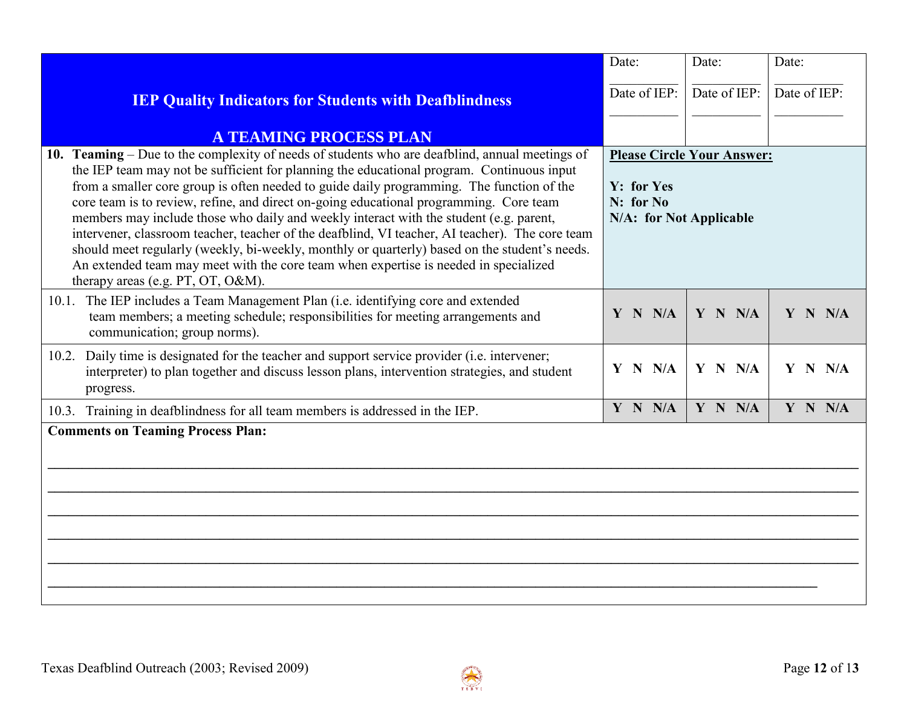|                                                                                                                                                                                                                                                                                                                                                                                                                                                                                                                                                                                                                                                                                                                                                                                                               | Date:                                                                                   | Date:        | Date:        |
|---------------------------------------------------------------------------------------------------------------------------------------------------------------------------------------------------------------------------------------------------------------------------------------------------------------------------------------------------------------------------------------------------------------------------------------------------------------------------------------------------------------------------------------------------------------------------------------------------------------------------------------------------------------------------------------------------------------------------------------------------------------------------------------------------------------|-----------------------------------------------------------------------------------------|--------------|--------------|
| <b>IEP Quality Indicators for Students with Deafblindness</b>                                                                                                                                                                                                                                                                                                                                                                                                                                                                                                                                                                                                                                                                                                                                                 | Date of IEP:                                                                            | Date of IEP: | Date of IEP: |
| <b>A TEAMING PROCESS PLAN</b>                                                                                                                                                                                                                                                                                                                                                                                                                                                                                                                                                                                                                                                                                                                                                                                 |                                                                                         |              |              |
| 10. Teaming – Due to the complexity of needs of students who are deafblind, annual meetings of<br>the IEP team may not be sufficient for planning the educational program. Continuous input<br>from a smaller core group is often needed to guide daily programming. The function of the<br>core team is to review, refine, and direct on-going educational programming. Core team<br>members may include those who daily and weekly interact with the student (e.g. parent,<br>intervener, classroom teacher, teacher of the deafblind, VI teacher, AI teacher). The core team<br>should meet regularly (weekly, bi-weekly, monthly or quarterly) based on the student's needs.<br>An extended team may meet with the core team when expertise is needed in specialized<br>therapy areas (e.g. PT, OT, O&M). | <b>Please Circle Your Answer:</b><br>Y: for Yes<br>N: for No<br>N/A: for Not Applicable |              |              |
| 10.1. The IEP includes a Team Management Plan (i.e. identifying core and extended<br>team members; a meeting schedule; responsibilities for meeting arrangements and<br>communication; group norms).                                                                                                                                                                                                                                                                                                                                                                                                                                                                                                                                                                                                          | Y N N/A                                                                                 | Y N N/A      | Y N N/A      |
| 10.2. Daily time is designated for the teacher and support service provider (i.e. intervener;<br>interpreter) to plan together and discuss lesson plans, intervention strategies, and student<br>progress.                                                                                                                                                                                                                                                                                                                                                                                                                                                                                                                                                                                                    | Y N N/A                                                                                 | Y N N/A      | Y N N/A      |
| 10.3. Training in deafblindness for all team members is addressed in the IEP.                                                                                                                                                                                                                                                                                                                                                                                                                                                                                                                                                                                                                                                                                                                                 | Y N N/A                                                                                 | Y N N/A      | Y N N/A      |
| <b>Comments on Teaming Process Plan:</b>                                                                                                                                                                                                                                                                                                                                                                                                                                                                                                                                                                                                                                                                                                                                                                      |                                                                                         |              |              |